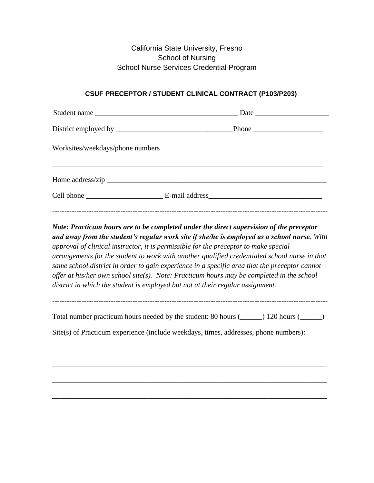California State University, Fresno School of Nursing School Nurse Services Credential Program

## **CSUF PRECEPTOR / STUDENT CLINICAL CONTRACT (P103/P203)**

*Note: Practicum hours are to be completed under the direct supervision of the preceptor and away from the student's regular work site if she/he is employed as a school nurse. With approval of clinical instructor, it is permissible for the preceptor to make special arrangements for the student to work with another qualified credentialed school nurse in that same school district in order to gain experience in a specific area that the preceptor cannot offer at his/her own school site(s). Note: Practicum hours may be completed in the school district in which the student is employed but not at their regular assignment.*

Total number practicum hours needed by the student: 80 hours (2000) 120 hours (2000)

\_\_\_\_\_\_\_\_\_\_\_\_\_\_\_\_\_\_\_\_\_\_\_\_\_\_\_\_\_\_\_\_\_\_\_\_\_\_\_\_\_\_\_\_\_\_\_\_\_\_\_\_\_\_\_\_\_\_\_\_\_\_\_\_\_\_\_\_\_\_\_\_\_\_\_

\_\_\_\_\_\_\_\_\_\_\_\_\_\_\_\_\_\_\_\_\_\_\_\_\_\_\_\_\_\_\_\_\_\_\_\_\_\_\_\_\_\_\_\_\_\_\_\_\_\_\_\_\_\_\_\_\_\_\_\_\_\_\_\_\_\_\_\_\_\_\_\_\_\_\_

\_\_\_\_\_\_\_\_\_\_\_\_\_\_\_\_\_\_\_\_\_\_\_\_\_\_\_\_\_\_\_\_\_\_\_\_\_\_\_\_\_\_\_\_\_\_\_\_\_\_\_\_\_\_\_\_\_\_\_\_\_\_\_\_\_\_\_\_\_\_\_\_\_\_\_

\_\_\_\_\_\_\_\_\_\_\_\_\_\_\_\_\_\_\_\_\_\_\_\_\_\_\_\_\_\_\_\_\_\_\_\_\_\_\_\_\_\_\_\_\_\_\_\_\_\_\_\_\_\_\_\_\_\_\_\_\_\_\_\_\_\_\_\_\_\_\_\_\_\_\_

-----------------------------------------------------------------------------------------------------------------

Site(s) of Practicum experience (include weekdays, times, addresses, phone numbers):